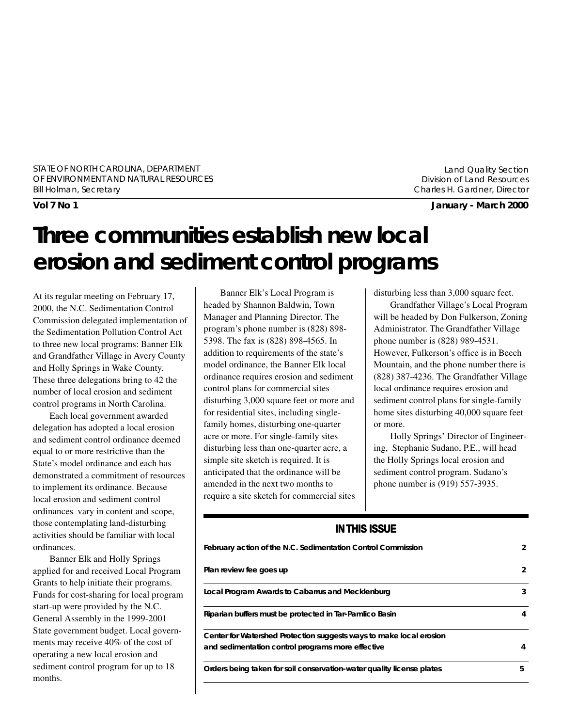STATE OF NORTH CAROLINA, DEPARTMENT OF ENVIRONMENT AND NATURAL RESOURCES Bill Holman, Secretary

Land Quality Section Division of Land Resources Charles H. Gardner, Director

**Vol 7 No 1 January - March 2000**

# **Three communities establish new local erosion and sediment control programs**

At its regular meeting on February 17, 2000, the N.C. Sedimentation Control Commission delegated implementation of the Sedimentation Pollution Control Act to three new local programs: Banner Elk and Grandfather Village in Avery County and Holly Springs in Wake County. These three delegations bring to 42 the number of local erosion and sediment control programs in North Carolina.

Each local government awarded delegation has adopted a local erosion and sediment control ordinance deemed equal to or more restrictive than the State's model ordinance and each has demonstrated a commitment of resources to implement its ordinance. Because local erosion and sediment control ordinances vary in content and scope, those contemplating land-disturbing activities should be familiar with local ordinances.

Banner Elk and Holly Springs applied for and received Local Program Grants to help initiate their programs. Funds for cost-sharing for local program start-up were provided by the N.C. General Assembly in the 1999-2001 State government budget. Local governments may receive 40% of the cost of operating a new local erosion and sediment control program for up to 18 months.

Banner Elk's Local Program is headed by Shannon Baldwin, Town Manager and Planning Director. The program's phone number is (828) 898- 5398. The fax is (828) 898-4565. In addition to requirements of the state's model ordinance, the Banner Elk local ordinance requires erosion and sediment control plans for commercial sites disturbing 3,000 square feet or more and for residential sites, including singlefamily homes, disturbing one-quarter acre or more. For single-family sites disturbing less than one-quarter acre, a simple site sketch is required. It is anticipated that the ordinance will be amended in the next two months to require a site sketch for commercial sites

disturbing less than 3,000 square feet.

Grandfather Village's Local Program will be headed by Don Fulkerson, Zoning Administrator. The Grandfather Village phone number is (828) 989-4531. However, Fulkerson's office is in Beech Mountain, and the phone number there is (828) 387-4236. The Grandfather Village local ordinance requires erosion and sediment control plans for single-family home sites disturbing 40,000 square feet or more.

Holly Springs' Director of Engineering, Stephanie Sudano, P.E., will head the Holly Springs local erosion and sediment control program. Sudano's phone number is (919) 557-3935.

#### **IN THIS ISSUE**

| February action of the N.C. Sedimentation Control Commission                                                             | 2 |
|--------------------------------------------------------------------------------------------------------------------------|---|
| Plan review fee goes up                                                                                                  | 2 |
| Local Program Awards to Cabarrus and Mecklenburg                                                                         | 3 |
| Riparian buffers must be protected in Tar-Pamlico Basin                                                                  | 4 |
| Center for Watershed Protection suggests ways to make local erosion<br>and sedimentation control programs more effective | 4 |
| Orders being taken for soil conservation-water quality license plates                                                    | 5 |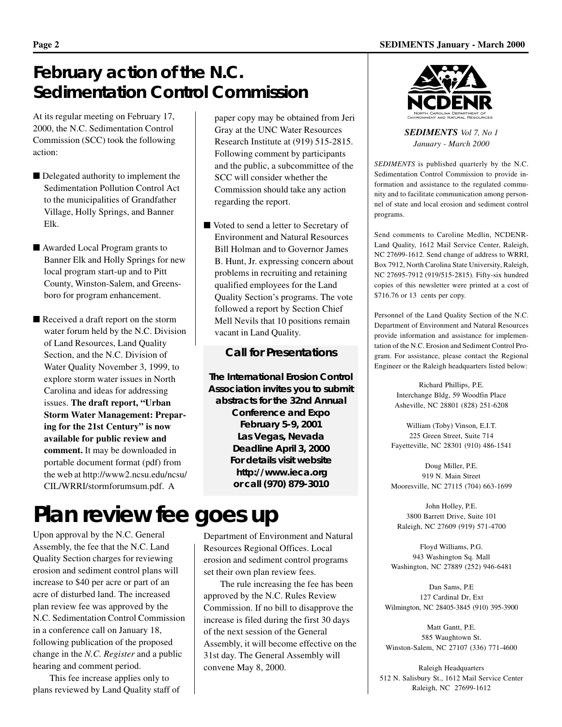### **February action of the N.C. Sedimentation Control Commission**

At its regular meeting on February 17, 2000, the N.C. Sedimentation Control Commission (SCC) took the following action:

- Delegated authority to implement the Sedimentation Pollution Control Act to the municipalities of Grandfather Village, Holly Springs, and Banner Elk.
- Awarded Local Program grants to Banner Elk and Holly Springs for new local program start-up and to Pitt County, Winston-Salem, and Greensboro for program enhancement.
- Received a draft report on the storm water forum held by the N.C. Division of Land Resources, Land Quality Section, and the N.C. Division of Water Quality November 3, 1999, to explore storm water issues in North Carolina and ideas for addressing issues. **The draft report, "Urban Storm Water Management: Preparing for the 21st Century" is now available for public review and comment.** It may be downloaded in portable document format (pdf) from the web at http://www2.ncsu.edu/ncsu/ CIL/WRRI/stormforumsum.pdf. A

# **Plan review fee goes up**

Upon approval by the N.C. General Assembly, the fee that the N.C. Land Quality Section charges for reviewing erosion and sediment control plans will increase to \$40 per acre or part of an acre of disturbed land. The increased plan review fee was approved by the N.C. Sedimentation Control Commission in a conference call on January 18, following publication of the proposed change in the *N.C. Register* and a public hearing and comment period.

This fee increase applies only to plans reviewed by Land Quality staff of paper copy may be obtained from Jeri Gray at the UNC Water Resources Research Institute at (919) 515-2815. Following comment by participants and the public, a subcommittee of the SCC will consider whether the Commission should take any action regarding the report.

■ Voted to send a letter to Secretary of Environment and Natural Resources Bill Holman and to Governor James B. Hunt, Jr. expressing concern about problems in recruiting and retaining qualified employees for the Land Quality Section's programs. The vote followed a report by Section Chief Mell Nevils that 10 positions remain vacant in Land Quality.

#### **Call for Presentations**

**The International Erosion Control Association invites you to submit abstracts for the 32nd Annual Conference and Expo February 5-9, 2001 Las Vegas, Nevada Deadline April 3, 2000 For details visit website http://www.ieca.org or call (970) 879-3010**

Department of Environment and Natural Resources Regional Offices. Local erosion and sediment control programs set their own plan review fees.

The rule increasing the fee has been approved by the N.C. Rules Review Commission. If no bill to disapprove the increase is filed during the first 30 days of the next session of the General Assembly, it will become effective on the 31st day. The General Assembly will convene May 8, 2000.



*SEDIMENTS Vol 7, No 1 January - March 2000*

*SEDIMENTS* is published quarterly by the N.C. Sedimentation Control Commission to provide information and assistance to the regulated community and to facilitate communication among personnel of state and local erosion and sediment control programs.

Send comments to Caroline Medlin, NCDENR-Land Quality, 1612 Mail Service Center, Raleigh, NC 27699-1612. Send change of address to WRRI, Box 7912, North Carolina State University, Raleigh, NC 27695-7912 (919/515-2815). Fifty-six hundred copies of this newsletter were printed at a cost of \$716.76 or 13 cents per copy.

Personnel of the Land Quality Section of the N.C. Department of Environment and Natural Resources provide information and assistance for implementation of the N.C. Erosion and Sediment Control Program. For assistance, please contact the Regional Engineer or the Raleigh headquarters listed below:

> Richard Phillips, P.E. Interchange Bldg, 59 Woodfin Place Asheville, NC 28801 (828) 251-6208

William (Toby) Vinson, E.I.T. 225 Green Street, Suite 714 Fayetteville, NC 28301 (910) 486-1541

Doug Miller, P.E. 919 N. Main Street Mooresville, NC 27115 (704) 663-1699

John Holley, P.E. 3800 Barrett Drive, Suite 101 Raleigh, NC 27609 (919) 571-4700

Floyd Williams, P.G. 943 Washington Sq. Mall Washington, NC 27889 (252) 946-6481

Dan Sams, P.E 127 Cardinal Dr, Ext Wilmington, NC 28405-3845 (910) 395-3900

Matt Gantt, P.E. 585 Waughtown St. Winston-Salem, NC 27107 (336) 771-4600

Raleigh Headquarters 512 N. Salisbury St., 1612 Mail Service Center Raleigh, NC 27699-1612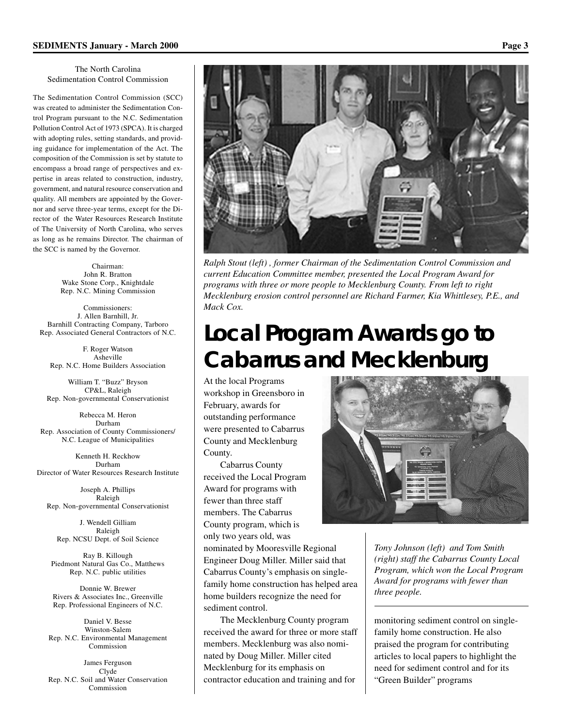#### The North Carolina Sedimentation Control Commission

The Sedimentation Control Commission (SCC) was created to administer the Sedimentation Control Program pursuant to the N.C. Sedimentation Pollution Control Act of 1973 (SPCA). It is charged with adopting rules, setting standards, and providing guidance for implementation of the Act. The composition of the Commission is set by statute to encompass a broad range of perspectives and expertise in areas related to construction, industry, government, and natural resource conservation and quality. All members are appointed by the Governor and serve three-year terms, except for the Director of the Water Resources Research Institute of The University of North Carolina, who serves as long as he remains Director. The chairman of the SCC is named by the Governor.

> Chairman: John R. Bratton Wake Stone Corp., Knightdale Rep. N.C. Mining Commission

Commissioners: J. Allen Barnhill, Jr. Barnhill Contracting Company, Tarboro Rep. Associated General Contractors of N.C.

F. Roger Watson Asheville Rep. N.C. Home Builders Association

William T. "Buzz" Bryson CP&L, Raleigh Rep. Non-governmental Conservationist

Rebecca M. Heron Durham Rep. Association of County Commissioners/ N.C. League of Municipalities

Kenneth H. Reckhow Durham Director of Water Resources Research Institute

Joseph A. Phillips Raleigh Rep. Non-governmental Conservationist

J. Wendell Gilliam Raleigh Rep. NCSU Dept. of Soil Science

Ray B. Killough Piedmont Natural Gas Co., Matthews Rep. N.C. public utilities

Donnie W. Brewer Rivers & Associates Inc., Greenville Rep. Professional Engineers of N.C.

Daniel V. Besse Winston-Salem Rep. N.C. Environmental Management Commission

James Ferguson Clyde Rep. N.C. Soil and Water Conservation Commission



*Ralph Stout (left) , former Chairman of the Sedimentation Control Commission and current Education Committee member, presented the Local Program Award for programs with three or more people to Mecklenburg County. From left to right Mecklenburg erosion control personnel are Richard Farmer, Kia Whittlesey, P.E., and Mack Cox.*

# **Local Program Awards go to Cabarrus and Mecklenburg**

At the local Programs workshop in Greensboro in February, awards for outstanding performance were presented to Cabarrus County and Mecklenburg County.

Cabarrus County received the Local Program Award for programs with fewer than three staff members. The Cabarrus County program, which is only two years old, was

nominated by Mooresville Regional Engineer Doug Miller. Miller said that Cabarrus County's emphasis on singlefamily home construction has helped area home builders recognize the need for sediment control.

The Mecklenburg County program received the award for three or more staff members. Mecklenburg was also nominated by Doug Miller. Miller cited Mecklenburg for its emphasis on contractor education and training and for



*Tony Johnson (left) and Tom Smith (right) staff the Cabarrus County Local Program, which won the Local Program Award for programs with fewer than three people.*

monitoring sediment control on singlefamily home construction. He also praised the program for contributing articles to local papers to highlight the need for sediment control and for its "Green Builder" programs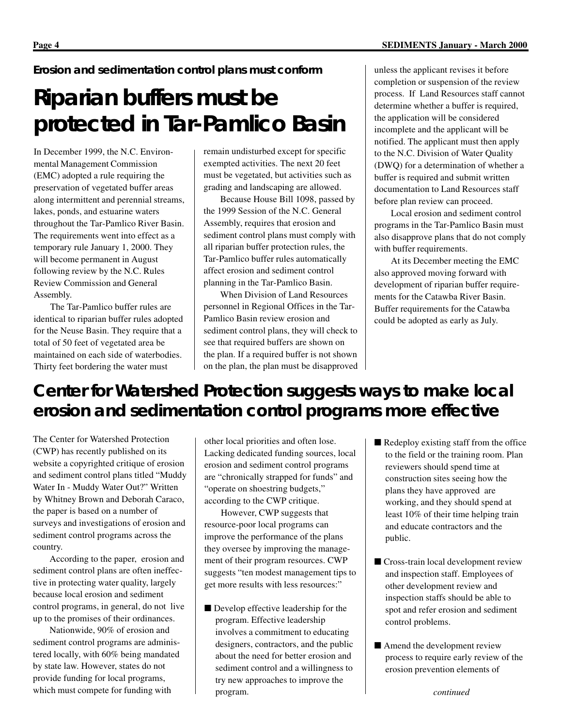*Erosion and sedimentation control plans must conform*

# **Riparian buffers must be protected in Tar-Pamlico Basin**

In December 1999, the N.C. Environmental Management Commission (EMC) adopted a rule requiring the preservation of vegetated buffer areas along intermittent and perennial streams, lakes, ponds, and estuarine waters throughout the Tar-Pamlico River Basin. The requirements went into effect as a temporary rule January 1, 2000. They will become permanent in August following review by the N.C. Rules Review Commission and General Assembly.

The Tar-Pamlico buffer rules are identical to riparian buffer rules adopted for the Neuse Basin. They require that a total of 50 feet of vegetated area be maintained on each side of waterbodies. Thirty feet bordering the water must

remain undisturbed except for specific exempted activities. The next 20 feet must be vegetated, but activities such as grading and landscaping are allowed.

Because House Bill 1098, passed by the 1999 Session of the N.C. General Assembly, requires that erosion and sediment control plans must comply with all riparian buffer protection rules, the Tar-Pamlico buffer rules automatically affect erosion and sediment control planning in the Tar-Pamlico Basin.

When Division of Land Resources personnel in Regional Offices in the Tar-Pamlico Basin review erosion and sediment control plans, they will check to see that required buffers are shown on the plan. If a required buffer is not shown on the plan, the plan must be disapproved unless the applicant revises it before completion or suspension of the review process. If Land Resources staff cannot determine whether a buffer is required, the application will be considered incomplete and the applicant will be notified. The applicant must then apply to the N.C. Division of Water Quality (DWQ) for a determination of whether a buffer is required and submit written documentation to Land Resources staff before plan review can proceed.

Local erosion and sediment control programs in the Tar-Pamlico Basin must also disapprove plans that do not comply with buffer requirements.

At its December meeting the EMC also approved moving forward with development of riparian buffer requirements for the Catawba River Basin. Buffer requirements for the Catawba could be adopted as early as July.

## **Center for Watershed Protection suggests ways to make local erosion and sedimentation control programs more effective**

The Center for Watershed Protection (CWP) has recently published on its website a copyrighted critique of erosion and sediment control plans titled "Muddy Water In - Muddy Water Out?" Written by Whitney Brown and Deborah Caraco, the paper is based on a number of surveys and investigations of erosion and sediment control programs across the country.

According to the paper, erosion and sediment control plans are often ineffective in protecting water quality, largely because local erosion and sediment control programs, in general, do not live up to the promises of their ordinances.

Nationwide, 90% of erosion and sediment control programs are administered locally, with 60% being mandated by state law. However, states do not provide funding for local programs, which must compete for funding with

other local priorities and often lose. Lacking dedicated funding sources, local erosion and sediment control programs are "chronically strapped for funds" and "operate on shoestring budgets," according to the CWP critique.

However, CWP suggests that resource-poor local programs can improve the performance of the plans they oversee by improving the management of their program resources. CWP suggests "ten modest management tips to get more results with less resources:"

- Develop effective leadership for the program. Effective leadership involves a commitment to educating designers, contractors, and the public about the need for better erosion and sediment control and a willingness to try new approaches to improve the program.
- Redeploy existing staff from the office to the field or the training room. Plan reviewers should spend time at construction sites seeing how the plans they have approved are working, and they should spend at least 10% of their time helping train and educate contractors and the public.
- Cross-train local development review and inspection staff. Employees of other development review and inspection staffs should be able to spot and refer erosion and sediment control problems.
- Amend the development review process to require early review of the erosion prevention elements of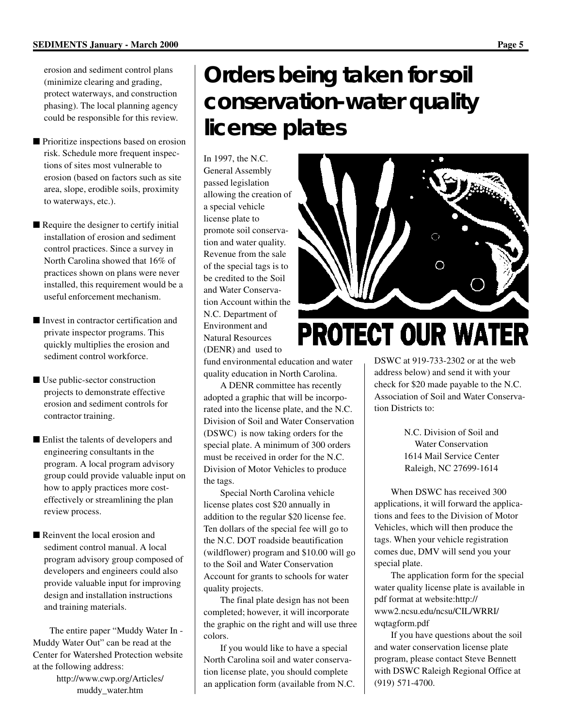erosion and sediment control plans (minimize clearing and grading, protect waterways, and construction phasing). The local planning agency could be responsible for this review.

- Prioritize inspections based on erosion risk. Schedule more frequent inspections of sites most vulnerable to erosion (based on factors such as site area, slope, erodible soils, proximity to waterways, etc.).
- Require the designer to certify initial installation of erosion and sediment control practices. Since a survey in North Carolina showed that 16% of practices shown on plans were never installed, this requirement would be a useful enforcement mechanism.
- Invest in contractor certification and private inspector programs. This quickly multiplies the erosion and sediment control workforce.
- Use public-sector construction projects to demonstrate effective erosion and sediment controls for contractor training.
- Enlist the talents of developers and engineering consultants in the program. A local program advisory group could provide valuable input on how to apply practices more costeffectively or streamlining the plan review process.
- Reinvent the local erosion and sediment control manual. A local program advisory group composed of developers and engineers could also provide valuable input for improving design and installation instructions and training materials.

The entire paper "Muddy Water In - Muddy Water Out" can be read at the Center for Watershed Protection website at the following address: http://www.cwp.org/Articles/

muddy\_water.htm

# **Orders being taken for soil conservation-water quality license plates**

In 1997, the N.C. General Assembly passed legislation allowing the creation of a special vehicle license plate to promote soil conservation and water quality. Revenue from the sale of the special tags is to be credited to the Soil and Water Conservation Account within the N.C. Department of Environment and Natural Resources (DENR) and used to

fund environmental education and water quality education in North Carolina.

A DENR committee has recently adopted a graphic that will be incorporated into the license plate, and the N.C. Division of Soil and Water Conservation (DSWC) is now taking orders for the special plate. A minimum of 300 orders must be received in order for the N.C. Division of Motor Vehicles to produce the tags.

Special North Carolina vehicle license plates cost \$20 annually in addition to the regular \$20 license fee. Ten dollars of the special fee will go to the N.C. DOT roadside beautification (wildflower) program and \$10.00 will go to the Soil and Water Conservation Account for grants to schools for water quality projects.

The final plate design has not been completed; however, it will incorporate the graphic on the right and will use three colors.

If you would like to have a special North Carolina soil and water conservation license plate, you should complete an application form (available from N.C.



# **PROTECT OUR WATER**

DSWC at 919-733-2302 or at the web address below) and send it with your check for \$20 made payable to the N.C. Association of Soil and Water Conservation Districts to:

> N.C. Division of Soil and Water Conservation 1614 Mail Service Center Raleigh, NC 27699-1614

When DSWC has received 300 applications, it will forward the applications and fees to the Division of Motor Vehicles, which will then produce the tags. When your vehicle registration comes due, DMV will send you your special plate.

The application form for the special water quality license plate is available in pdf format at website:http:// www2.ncsu.edu/ncsu/CIL/WRRI/ wqtagform.pdf

If you have questions about the soil and water conservation license plate program, please contact Steve Bennett with DSWC Raleigh Regional Office at (919) 571-4700.